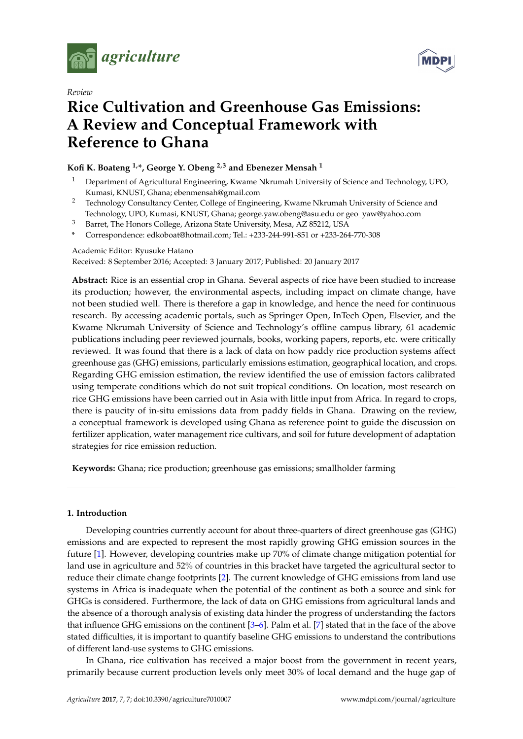



# *Review* **Rice Cultivation and Greenhouse Gas Emissions: A Review and Conceptual Framework with Reference to Ghana**

# **Kofi K. Boateng 1,\*, George Y. Obeng 2,3 and Ebenezer Mensah <sup>1</sup>**

- <sup>1</sup> Department of Agricultural Engineering, Kwame Nkrumah University of Science and Technology, UPO, Kumasi, KNUST, Ghana; ebenmensah@gmail.com
- <sup>2</sup> Technology Consultancy Center, College of Engineering, Kwame Nkrumah University of Science and Technology, UPO, Kumasi, KNUST, Ghana; george.yaw.obeng@asu.edu or geo\_yaw@yahoo.com
- <sup>3</sup> Barret, The Honors College, Arizona State University, Mesa, AZ 85212, USA
- **\*** Correspondence: edkoboat@hotmail.com; Tel.: +233-244-991-851 or +233-264-770-308

# Academic Editor: Ryusuke Hatano

Received: 8 September 2016; Accepted: 3 January 2017; Published: 20 January 2017

**Abstract:** Rice is an essential crop in Ghana. Several aspects of rice have been studied to increase its production; however, the environmental aspects, including impact on climate change, have not been studied well. There is therefore a gap in knowledge, and hence the need for continuous research. By accessing academic portals, such as Springer Open, InTech Open, Elsevier, and the Kwame Nkrumah University of Science and Technology's offline campus library, 61 academic publications including peer reviewed journals, books, working papers, reports, etc. were critically reviewed. It was found that there is a lack of data on how paddy rice production systems affect greenhouse gas (GHG) emissions, particularly emissions estimation, geographical location, and crops. Regarding GHG emission estimation, the review identified the use of emission factors calibrated using temperate conditions which do not suit tropical conditions. On location, most research on rice GHG emissions have been carried out in Asia with little input from Africa. In regard to crops, there is paucity of in-situ emissions data from paddy fields in Ghana. Drawing on the review, a conceptual framework is developed using Ghana as reference point to guide the discussion on fertilizer application, water management rice cultivars, and soil for future development of adaptation strategies for rice emission reduction.

**Keywords:** Ghana; rice production; greenhouse gas emissions; smallholder farming

# **1. Introduction**

Developing countries currently account for about three-quarters of direct greenhouse gas (GHG) emissions and are expected to represent the most rapidly growing GHG emission sources in the future [\[1\]](#page-10-0). However, developing countries make up 70% of climate change mitigation potential for land use in agriculture and 52% of countries in this bracket have targeted the agricultural sector to reduce their climate change footprints [\[2\]](#page-10-1). The current knowledge of GHG emissions from land use systems in Africa is inadequate when the potential of the continent as both a source and sink for GHGs is considered. Furthermore, the lack of data on GHG emissions from agricultural lands and the absence of a thorough analysis of existing data hinder the progress of understanding the factors that influence GHG emissions on the continent [\[3](#page-10-2)[–6\]](#page-10-3). Palm et al. [\[7\]](#page-10-4) stated that in the face of the above stated difficulties, it is important to quantify baseline GHG emissions to understand the contributions of different land-use systems to GHG emissions.

In Ghana, rice cultivation has received a major boost from the government in recent years, primarily because current production levels only meet 30% of local demand and the huge gap of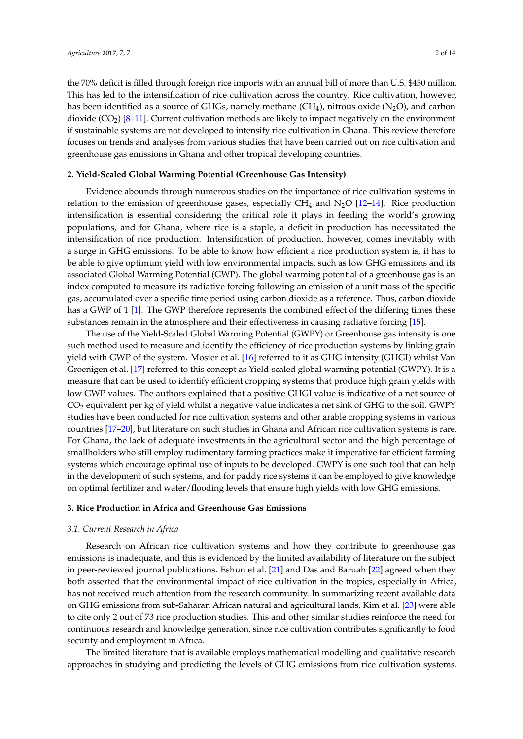the 70% deficit is filled through foreign rice imports with an annual bill of more than U.S. \$450 million. This has led to the intensification of rice cultivation across the country. Rice cultivation, however, has been identified as a source of GHGs, namely methane  $(CH_4)$ , nitrous oxide  $(N_2O)$ , and carbon dioxide  $(CO_2)$  [\[8](#page-10-5)[–11\]](#page-10-6). Current cultivation methods are likely to impact negatively on the environment if sustainable systems are not developed to intensify rice cultivation in Ghana. This review therefore focuses on trends and analyses from various studies that have been carried out on rice cultivation and greenhouse gas emissions in Ghana and other tropical developing countries.

#### **2. Yield-Scaled Global Warming Potential (Greenhouse Gas Intensity)**

Evidence abounds through numerous studies on the importance of rice cultivation systems in relation to the emission of greenhouse gases, especially  $CH_4$  and  $N_2O$  [\[12](#page-10-7)[–14\]](#page-10-8). Rice production intensification is essential considering the critical role it plays in feeding the world's growing populations, and for Ghana, where rice is a staple, a deficit in production has necessitated the intensification of rice production. Intensification of production, however, comes inevitably with a surge in GHG emissions. To be able to know how efficient a rice production system is, it has to be able to give optimum yield with low environmental impacts, such as low GHG emissions and its associated Global Warming Potential (GWP). The global warming potential of a greenhouse gas is an index computed to measure its radiative forcing following an emission of a unit mass of the specific gas, accumulated over a specific time period using carbon dioxide as a reference. Thus, carbon dioxide has a GWP of 1 [\[1\]](#page-10-0). The GWP therefore represents the combined effect of the differing times these substances remain in the atmosphere and their effectiveness in causing radiative forcing [\[15\]](#page-10-9).

The use of the Yield-Scaled Global Warming Potential (GWPY) or Greenhouse gas intensity is one such method used to measure and identify the efficiency of rice production systems by linking grain yield with GWP of the system. Mosier et al. [\[16\]](#page-10-10) referred to it as GHG intensity (GHGI) whilst Van Groenigen et al. [\[17\]](#page-11-0) referred to this concept as Yield-scaled global warming potential (GWPY). It is a measure that can be used to identify efficient cropping systems that produce high grain yields with low GWP values. The authors explained that a positive GHGI value is indicative of a net source of CO<sup>2</sup> equivalent per kg of yield whilst a negative value indicates a net sink of GHG to the soil. GWPY studies have been conducted for rice cultivation systems and other arable cropping systems in various countries [\[17](#page-11-0)[–20\]](#page-11-1), but literature on such studies in Ghana and African rice cultivation systems is rare. For Ghana, the lack of adequate investments in the agricultural sector and the high percentage of smallholders who still employ rudimentary farming practices make it imperative for efficient farming systems which encourage optimal use of inputs to be developed. GWPY is one such tool that can help in the development of such systems, and for paddy rice systems it can be employed to give knowledge on optimal fertilizer and water/flooding levels that ensure high yields with low GHG emissions.

# **3. Rice Production in Africa and Greenhouse Gas Emissions**

#### *3.1. Current Research in Africa*

Research on African rice cultivation systems and how they contribute to greenhouse gas emissions is inadequate, and this is evidenced by the limited availability of literature on the subject in peer-reviewed journal publications. Eshun et al. [\[21\]](#page-11-2) and Das and Baruah [\[22\]](#page-11-3) agreed when they both asserted that the environmental impact of rice cultivation in the tropics, especially in Africa, has not received much attention from the research community. In summarizing recent available data on GHG emissions from sub-Saharan African natural and agricultural lands, Kim et al. [\[23\]](#page-11-4) were able to cite only 2 out of 73 rice production studies. This and other similar studies reinforce the need for continuous research and knowledge generation, since rice cultivation contributes significantly to food security and employment in Africa.

The limited literature that is available employs mathematical modelling and qualitative research approaches in studying and predicting the levels of GHG emissions from rice cultivation systems.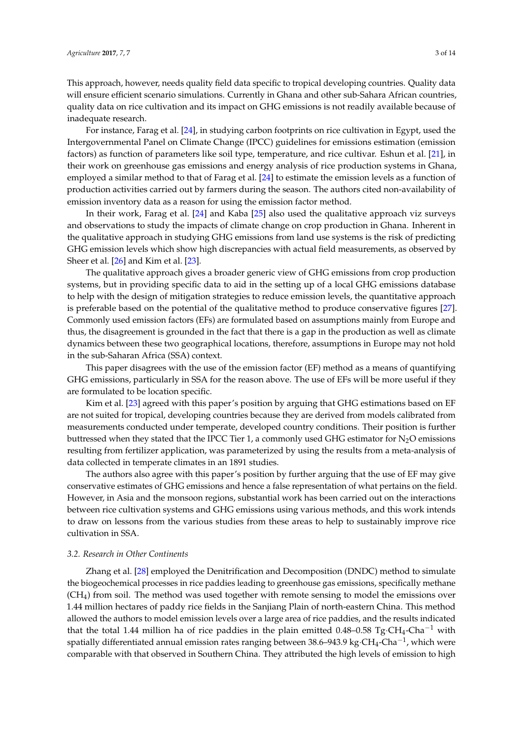This approach, however, needs quality field data specific to tropical developing countries. Quality data will ensure efficient scenario simulations. Currently in Ghana and other sub-Sahara African countries, quality data on rice cultivation and its impact on GHG emissions is not readily available because of inadequate research.

For instance, Farag et al. [\[24\]](#page-11-5), in studying carbon footprints on rice cultivation in Egypt, used the Intergovernmental Panel on Climate Change (IPCC) guidelines for emissions estimation (emission factors) as function of parameters like soil type, temperature, and rice cultivar. Eshun et al. [\[21\]](#page-11-2), in their work on greenhouse gas emissions and energy analysis of rice production systems in Ghana, employed a similar method to that of Farag et al. [\[24\]](#page-11-5) to estimate the emission levels as a function of production activities carried out by farmers during the season. The authors cited non-availability of emission inventory data as a reason for using the emission factor method.

In their work, Farag et al. [\[24\]](#page-11-5) and Kaba [\[25\]](#page-11-6) also used the qualitative approach viz surveys and observations to study the impacts of climate change on crop production in Ghana. Inherent in the qualitative approach in studying GHG emissions from land use systems is the risk of predicting GHG emission levels which show high discrepancies with actual field measurements, as observed by Sheer et al. [\[26\]](#page-11-7) and Kim et al. [\[23\]](#page-11-4).

The qualitative approach gives a broader generic view of GHG emissions from crop production systems, but in providing specific data to aid in the setting up of a local GHG emissions database to help with the design of mitigation strategies to reduce emission levels, the quantitative approach is preferable based on the potential of the qualitative method to produce conservative figures [\[27\]](#page-11-8). Commonly used emission factors (EFs) are formulated based on assumptions mainly from Europe and thus, the disagreement is grounded in the fact that there is a gap in the production as well as climate dynamics between these two geographical locations, therefore, assumptions in Europe may not hold in the sub-Saharan Africa (SSA) context.

This paper disagrees with the use of the emission factor (EF) method as a means of quantifying GHG emissions, particularly in SSA for the reason above. The use of EFs will be more useful if they are formulated to be location specific.

Kim et al. [\[23\]](#page-11-4) agreed with this paper's position by arguing that GHG estimations based on EF are not suited for tropical, developing countries because they are derived from models calibrated from measurements conducted under temperate, developed country conditions. Their position is further buttressed when they stated that the IPCC Tier 1, a commonly used GHG estimator for  $N_2O$  emissions resulting from fertilizer application, was parameterized by using the results from a meta-analysis of data collected in temperate climates in an 1891 studies.

The authors also agree with this paper's position by further arguing that the use of EF may give conservative estimates of GHG emissions and hence a false representation of what pertains on the field. However, in Asia and the monsoon regions, substantial work has been carried out on the interactions between rice cultivation systems and GHG emissions using various methods, and this work intends to draw on lessons from the various studies from these areas to help to sustainably improve rice cultivation in SSA.

# *3.2. Research in Other Continents*

Zhang et al. [\[28\]](#page-11-9) employed the Denitrification and Decomposition (DNDC) method to simulate the biogeochemical processes in rice paddies leading to greenhouse gas emissions, specifically methane (CH4) from soil. The method was used together with remote sensing to model the emissions over 1.44 million hectares of paddy rice fields in the Sanjiang Plain of north-eastern China. This method allowed the authors to model emission levels over a large area of rice paddies, and the results indicated that the total 1.44 million ha of rice paddies in the plain emitted 0.48–0.58 Tg·CH<sub>4</sub>-Cha<sup>-1</sup> with spatially differentiated annual emission rates ranging between 38.6–943.9 kg $\cdot$ CH<sub>4</sub>-Cha $^{-1}$ , which were comparable with that observed in Southern China. They attributed the high levels of emission to high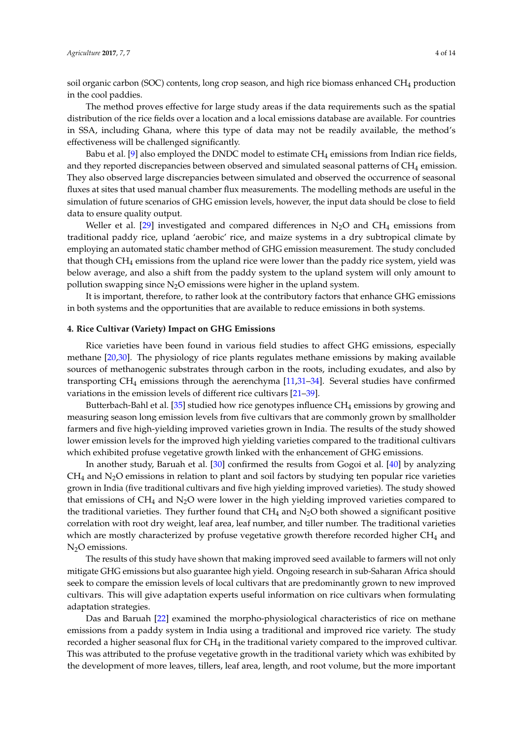soil organic carbon (SOC) contents, long crop season, and high rice biomass enhanced CH<sub>4</sub> production in the cool paddies.

The method proves effective for large study areas if the data requirements such as the spatial distribution of the rice fields over a location and a local emissions database are available. For countries in SSA, including Ghana, where this type of data may not be readily available, the method's effectiveness will be challenged significantly.

Babu et al. [\[9\]](#page-10-11) also employed the DNDC model to estimate  $CH_4$  emissions from Indian rice fields, and they reported discrepancies between observed and simulated seasonal patterns of CH<sub>4</sub> emission. They also observed large discrepancies between simulated and observed the occurrence of seasonal fluxes at sites that used manual chamber flux measurements. The modelling methods are useful in the simulation of future scenarios of GHG emission levels, however, the input data should be close to field data to ensure quality output.

Weller et al. [\[29\]](#page-11-10) investigated and compared differences in  $N_2O$  and CH<sub>4</sub> emissions from traditional paddy rice, upland 'aerobic' rice, and maize systems in a dry subtropical climate by employing an automated static chamber method of GHG emission measurement. The study concluded that though  $CH_4$  emissions from the upland rice were lower than the paddy rice system, yield was below average, and also a shift from the paddy system to the upland system will only amount to pollution swapping since  $N_2O$  emissions were higher in the upland system.

It is important, therefore, to rather look at the contributory factors that enhance GHG emissions in both systems and the opportunities that are available to reduce emissions in both systems.

#### **4. Rice Cultivar (Variety) Impact on GHG Emissions**

Rice varieties have been found in various field studies to affect GHG emissions, especially methane [\[20,](#page-11-1)[30\]](#page-11-11). The physiology of rice plants regulates methane emissions by making available sources of methanogenic substrates through carbon in the roots, including exudates, and also by transporting CH<sup>4</sup> emissions through the aerenchyma [\[11,](#page-10-6)[31–](#page-11-12)[34\]](#page-11-13). Several studies have confirmed variations in the emission levels of different rice cultivars [\[21–](#page-11-2)[39\]](#page-12-0).

Butterbach-Bahl et al. [\[35\]](#page-11-14) studied how rice genotypes influence  $CH_4$  emissions by growing and measuring season long emission levels from five cultivars that are commonly grown by smallholder farmers and five high-yielding improved varieties grown in India. The results of the study showed lower emission levels for the improved high yielding varieties compared to the traditional cultivars which exhibited profuse vegetative growth linked with the enhancement of GHG emissions.

In another study, Baruah et al. [\[30\]](#page-11-11) confirmed the results from Gogoi et al. [\[40\]](#page-12-1) by analyzing  $CH<sub>4</sub>$  and N<sub>2</sub>O emissions in relation to plant and soil factors by studying ten popular rice varieties grown in India (five traditional cultivars and five high yielding improved varieties). The study showed that emissions of  $CH_4$  and  $N_2O$  were lower in the high yielding improved varieties compared to the traditional varieties. They further found that  $CH_4$  and  $N_2O$  both showed a significant positive correlation with root dry weight, leaf area, leaf number, and tiller number. The traditional varieties which are mostly characterized by profuse vegetative growth therefore recorded higher  $CH<sub>4</sub>$  and  $N<sub>2</sub>O$  emissions.

The results of this study have shown that making improved seed available to farmers will not only mitigate GHG emissions but also guarantee high yield. Ongoing research in sub-Saharan Africa should seek to compare the emission levels of local cultivars that are predominantly grown to new improved cultivars. This will give adaptation experts useful information on rice cultivars when formulating adaptation strategies.

Das and Baruah [\[22\]](#page-11-3) examined the morpho-physiological characteristics of rice on methane emissions from a paddy system in India using a traditional and improved rice variety. The study recorded a higher seasonal flux for  $CH_4$  in the traditional variety compared to the improved cultivar. This was attributed to the profuse vegetative growth in the traditional variety which was exhibited by the development of more leaves, tillers, leaf area, length, and root volume, but the more important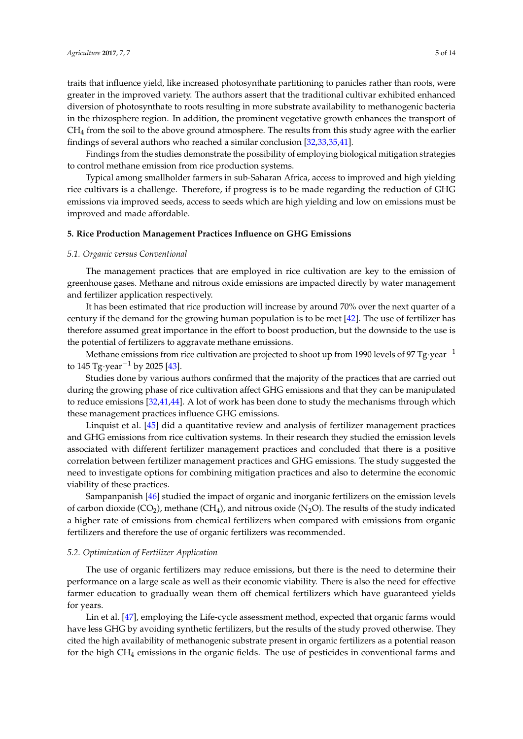traits that influence yield, like increased photosynthate partitioning to panicles rather than roots, were greater in the improved variety. The authors assert that the traditional cultivar exhibited enhanced diversion of photosynthate to roots resulting in more substrate availability to methanogenic bacteria in the rhizosphere region. In addition, the prominent vegetative growth enhances the transport of  $CH<sub>4</sub>$  from the soil to the above ground atmosphere. The results from this study agree with the earlier findings of several authors who reached a similar conclusion [\[32](#page-11-15)[,33](#page-11-16)[,35,](#page-11-14)[41\]](#page-12-2).

Findings from the studies demonstrate the possibility of employing biological mitigation strategies to control methane emission from rice production systems.

Typical among smallholder farmers in sub-Saharan Africa, access to improved and high yielding rice cultivars is a challenge. Therefore, if progress is to be made regarding the reduction of GHG emissions via improved seeds, access to seeds which are high yielding and low on emissions must be improved and made affordable.

#### **5. Rice Production Management Practices Influence on GHG Emissions**

#### *5.1. Organic versus Conventional*

The management practices that are employed in rice cultivation are key to the emission of greenhouse gases. Methane and nitrous oxide emissions are impacted directly by water management and fertilizer application respectively.

It has been estimated that rice production will increase by around 70% over the next quarter of a century if the demand for the growing human population is to be met [\[42\]](#page-12-3). The use of fertilizer has therefore assumed great importance in the effort to boost production, but the downside to the use is the potential of fertilizers to aggravate methane emissions.

Methane emissions from rice cultivation are projected to shoot up from 1990 levels of 97 Tg·year<sup>-1</sup> to 145 Tg·year<sup>-1</sup> by 2025 [\[43\]](#page-12-4).

Studies done by various authors confirmed that the majority of the practices that are carried out during the growing phase of rice cultivation affect GHG emissions and that they can be manipulated to reduce emissions [\[32](#page-11-15)[,41](#page-12-2)[,44\]](#page-12-5). A lot of work has been done to study the mechanisms through which these management practices influence GHG emissions.

Linquist et al. [\[45\]](#page-12-6) did a quantitative review and analysis of fertilizer management practices and GHG emissions from rice cultivation systems. In their research they studied the emission levels associated with different fertilizer management practices and concluded that there is a positive correlation between fertilizer management practices and GHG emissions. The study suggested the need to investigate options for combining mitigation practices and also to determine the economic viability of these practices.

Sampanpanish [\[46\]](#page-12-7) studied the impact of organic and inorganic fertilizers on the emission levels of carbon dioxide ( $CO<sub>2</sub>$ ), methane ( $CH<sub>4</sub>$ ), and nitrous oxide (N<sub>2</sub>O). The results of the study indicated a higher rate of emissions from chemical fertilizers when compared with emissions from organic fertilizers and therefore the use of organic fertilizers was recommended.

#### *5.2. Optimization of Fertilizer Application*

The use of organic fertilizers may reduce emissions, but there is the need to determine their performance on a large scale as well as their economic viability. There is also the need for effective farmer education to gradually wean them off chemical fertilizers which have guaranteed yields for years.

Lin et al. [\[47\]](#page-12-8), employing the Life-cycle assessment method, expected that organic farms would have less GHG by avoiding synthetic fertilizers, but the results of the study proved otherwise. They cited the high availability of methanogenic substrate present in organic fertilizers as a potential reason for the high CH<sup>4</sup> emissions in the organic fields. The use of pesticides in conventional farms and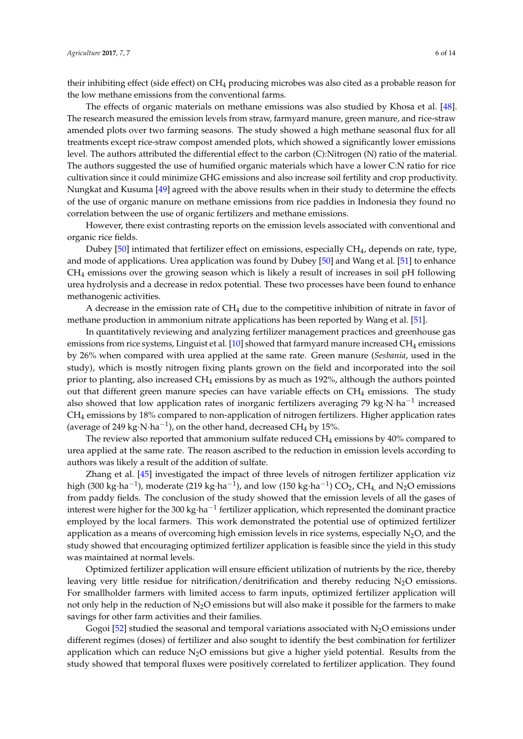their inhibiting effect (side effect) on CH<sup>4</sup> producing microbes was also cited as a probable reason for the low methane emissions from the conventional farms.

The effects of organic materials on methane emissions was also studied by Khosa et al. [\[48\]](#page-12-9). The research measured the emission levels from straw, farmyard manure, green manure, and rice-straw amended plots over two farming seasons. The study showed a high methane seasonal flux for all treatments except rice-straw compost amended plots, which showed a significantly lower emissions level. The authors attributed the differential effect to the carbon (C):Nitrogen (N) ratio of the material. The authors suggested the use of humified organic materials which have a lower C:N ratio for rice cultivation since it could minimize GHG emissions and also increase soil fertility and crop productivity. Nungkat and Kusuma [\[49\]](#page-12-10) agreed with the above results when in their study to determine the effects of the use of organic manure on methane emissions from rice paddies in Indonesia they found no correlation between the use of organic fertilizers and methane emissions.

However, there exist contrasting reports on the emission levels associated with conventional and organic rice fields.

Dubey [\[50\]](#page-12-11) intimated that fertilizer effect on emissions, especially CH4, depends on rate, type, and mode of applications. Urea application was found by Dubey [\[50\]](#page-12-11) and Wang et al. [\[51\]](#page-12-12) to enhance CH<sup>4</sup> emissions over the growing season which is likely a result of increases in soil pH following urea hydrolysis and a decrease in redox potential. These two processes have been found to enhance methanogenic activities.

A decrease in the emission rate of  $CH_4$  due to the competitive inhibition of nitrate in favor of methane production in ammonium nitrate applications has been reported by Wang et al. [\[51\]](#page-12-12).

In quantitatively reviewing and analyzing fertilizer management practices and greenhouse gas emissions from rice systems, Linguist et al.  $[10]$  showed that farmyard manure increased CH<sub>4</sub> emissions by 26% when compared with urea applied at the same rate. Green manure (*Sesbania*, used in the study), which is mostly nitrogen fixing plants grown on the field and incorporated into the soil prior to planting, also increased  $CH_4$  emissions by as much as 192%, although the authors pointed out that different green manure species can have variable effects on  $CH_4$  emissions. The study also showed that low application rates of inorganic fertilizers averaging 79 kg⋅N⋅ha<sup>-1</sup> increased CH<sup>4</sup> emissions by 18% compared to non-application of nitrogen fertilizers. Higher application rates (average of 249 kg $\cdot$ N $\cdot$ ha $^{-1}$ ), on the other hand, decreased CH<sub>4</sub> by 15%.

The review also reported that ammonium sulfate reduced  $CH_4$  emissions by  $40\%$  compared to urea applied at the same rate. The reason ascribed to the reduction in emission levels according to authors was likely a result of the addition of sulfate.

Zhang et al. [\[45\]](#page-12-6) investigated the impact of three levels of nitrogen fertilizer application viz high (300 kg·ha $^{-1}$ ), moderate (219 kg·ha $^{-1}$ ), and low (150 kg·ha $^{-1}$ ) CO<sub>2</sub>, CH<sub>4,</sub> and N<sub>2</sub>O emissions from paddy fields. The conclusion of the study showed that the emission levels of all the gases of interest were higher for the 300 kg·ha<sup>-1</sup> fertilizer application, which represented the dominant practice employed by the local farmers. This work demonstrated the potential use of optimized fertilizer application as a means of overcoming high emission levels in rice systems, especially  $N_2O$ , and the study showed that encouraging optimized fertilizer application is feasible since the yield in this study was maintained at normal levels.

Optimized fertilizer application will ensure efficient utilization of nutrients by the rice, thereby leaving very little residue for nitrification/denitrification and thereby reducing  $N<sub>2</sub>O$  emissions. For smallholder farmers with limited access to farm inputs, optimized fertilizer application will not only help in the reduction of  $N_2O$  emissions but will also make it possible for the farmers to make savings for other farm activities and their families.

Gogoi [\[52\]](#page-12-13) studied the seasonal and temporal variations associated with  $N_2O$  emissions under different regimes (doses) of fertilizer and also sought to identify the best combination for fertilizer application which can reduce  $N_2O$  emissions but give a higher yield potential. Results from the study showed that temporal fluxes were positively correlated to fertilizer application. They found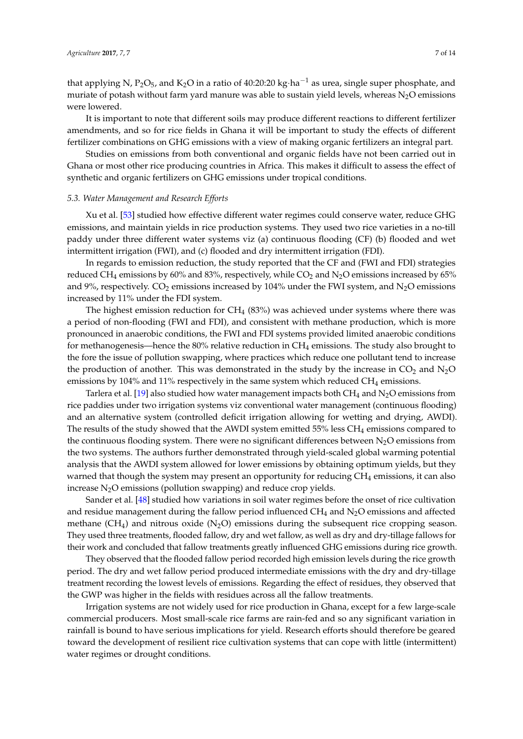that applying N, P<sub>2</sub>O<sub>5</sub>, and K<sub>2</sub>O in a ratio of 40:20:20 kg·ha<sup>-1</sup> as urea, single super phosphate, and muriate of potash without farm yard manure was able to sustain yield levels, whereas  $N_2O$  emissions were lowered.

It is important to note that different soils may produce different reactions to different fertilizer amendments, and so for rice fields in Ghana it will be important to study the effects of different fertilizer combinations on GHG emissions with a view of making organic fertilizers an integral part.

Studies on emissions from both conventional and organic fields have not been carried out in Ghana or most other rice producing countries in Africa. This makes it difficult to assess the effect of synthetic and organic fertilizers on GHG emissions under tropical conditions.

#### *5.3. Water Management and Research Efforts*

Xu et al. [\[53\]](#page-12-14) studied how effective different water regimes could conserve water, reduce GHG emissions, and maintain yields in rice production systems. They used two rice varieties in a no-till paddy under three different water systems viz (a) continuous flooding (CF) (b) flooded and wet intermittent irrigation (FWI), and (c) flooded and dry intermittent irrigation (FDI).

In regards to emission reduction, the study reported that the CF and (FWI and FDI) strategies reduced CH<sub>4</sub> emissions by 60% and 83%, respectively, while CO<sub>2</sub> and N<sub>2</sub>O emissions increased by 65% and 9%, respectively.  $CO_2$  emissions increased by 104% under the FWI system, and  $N_2O$  emissions increased by 11% under the FDI system.

The highest emission reduction for  $CH_4$  (83%) was achieved under systems where there was a period of non-flooding (FWI and FDI), and consistent with methane production, which is more pronounced in anaerobic conditions, the FWI and FDI systems provided limited anaerobic conditions for methanogenesis—hence the 80% relative reduction in  $CH_4$  emissions. The study also brought to the fore the issue of pollution swapping, where practices which reduce one pollutant tend to increase the production of another. This was demonstrated in the study by the increase in  $CO_2$  and  $N_2O$ emissions by 104% and 11% respectively in the same system which reduced CH<sub>4</sub> emissions.

Tarlera et al. [\[19\]](#page-11-17) also studied how water management impacts both  $CH_4$  and  $N<sub>2</sub>O$  emissions from rice paddies under two irrigation systems viz conventional water management (continuous flooding) and an alternative system (controlled deficit irrigation allowing for wetting and drying, AWDI). The results of the study showed that the AWDI system emitted  $55\%$  less CH<sub>4</sub> emissions compared to the continuous flooding system. There were no significant differences between  $N_2O$  emissions from the two systems. The authors further demonstrated through yield-scaled global warming potential analysis that the AWDI system allowed for lower emissions by obtaining optimum yields, but they warned that though the system may present an opportunity for reducing CH<sup>4</sup> emissions, it can also increase  $N_2O$  emissions (pollution swapping) and reduce crop yields.

Sander et al. [\[48\]](#page-12-9) studied how variations in soil water regimes before the onset of rice cultivation and residue management during the fallow period influenced  $CH_4$  and  $N_2O$  emissions and affected methane  $(CH_4)$  and nitrous oxide  $(N_2O)$  emissions during the subsequent rice cropping season. They used three treatments, flooded fallow, dry and wet fallow, as well as dry and dry-tillage fallows for their work and concluded that fallow treatments greatly influenced GHG emissions during rice growth.

They observed that the flooded fallow period recorded high emission levels during the rice growth period. The dry and wet fallow period produced intermediate emissions with the dry and dry-tillage treatment recording the lowest levels of emissions. Regarding the effect of residues, they observed that the GWP was higher in the fields with residues across all the fallow treatments.

Irrigation systems are not widely used for rice production in Ghana, except for a few large-scale commercial producers. Most small-scale rice farms are rain-fed and so any significant variation in rainfall is bound to have serious implications for yield. Research efforts should therefore be geared toward the development of resilient rice cultivation systems that can cope with little (intermittent) water regimes or drought conditions.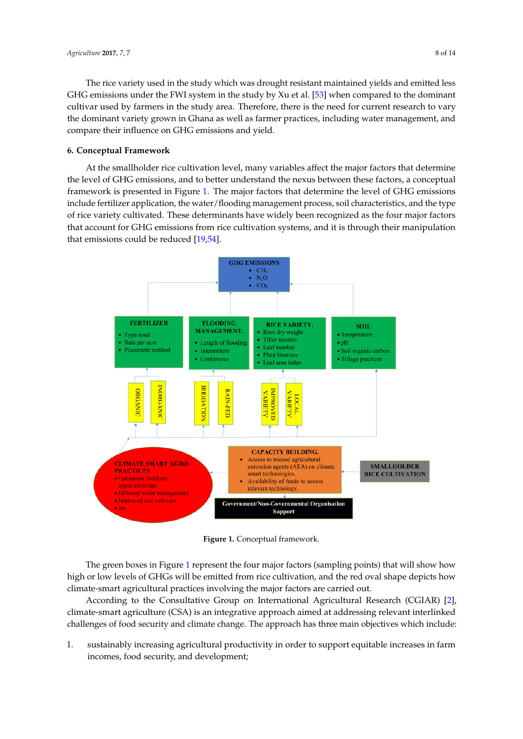The rice variety used in the study which was drought resistant maintained yields and emitted less GHG emissions under the FWI system in the study by Xu et al. [\[53\]](#page-12-14) when compared to the dominant cultivar used by farmers in the study area. Therefore, there is the need for current research to vary the dominant variety grown in Ghana as well as farmer practices, including water management, and compare their influence on GHG emissions and yield.

### **6. Conceptual Framework**

At the smallholder rice cultivation level, many variables affect the major factors that determine the level of GHG emissions, and to better understand the nexus between these factors, a conceptual framework is presented in Figure [1.](#page-7-0) The major factors that determine the level of GHG emissions include fertilizer application, the water/flooding management process, soil characteristics, and the type include fertilizer application, the water/flooding management process, soil characteristics, and the of rice variety cultivated. These determinants have widely been recognized as the four major factors that account for GHG emissions from rice cultivation systems, and it is through their manipulation that emissions could be reduced  $[19,54]$  $[19,54]$ .  $f(x) = \frac{1}{2}$ 

<span id="page-7-0"></span>

**Figure 1.** Conceptual framework. **Figure 1.** Conceptual framework.

The green boxes in Figure 1 represent the four major factors (sampling points) that will show how high or low levels of GHGs will be emitted from rice cultivation, and the red oval shape depicts how climate-smart agricultural practices involving the major factors are carried out.

According to the Consultative Group on International Agricultural Research (CGIAR) [\[2\]](#page-10-1), climate-smart agriculture (CSA) is an integrative approach aimed at addressing relevant interlinked challenges of food security and climate change. The approach has three main objectives which include:

1. sustainably increasing agricultural productivity in order to support equitable increases in farm incomes, food security, and development; incomes, food security, and development;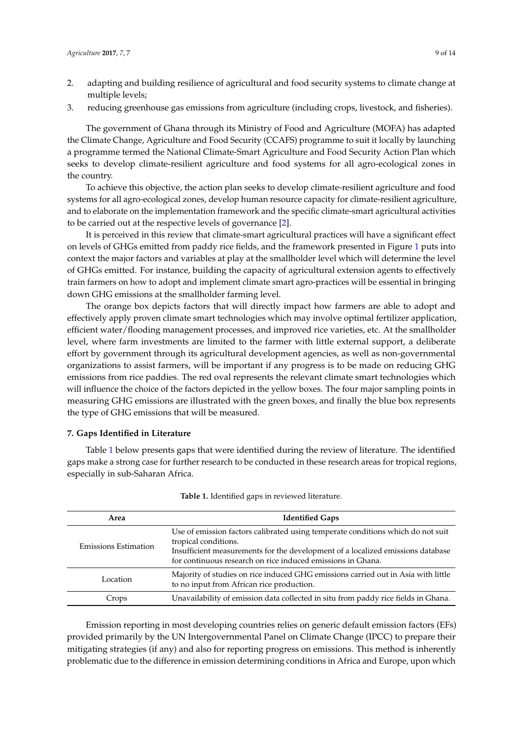- 2. adapting and building resilience of agricultural and food security systems to climate change at multiple levels;
- 3. reducing greenhouse gas emissions from agriculture (including crops, livestock, and fisheries).

The government of Ghana through its Ministry of Food and Agriculture (MOFA) has adapted the Climate Change, Agriculture and Food Security (CCAFS) programme to suit it locally by launching a programme termed the National Climate-Smart Agriculture and Food Security Action Plan which seeks to develop climate-resilient agriculture and food systems for all agro-ecological zones in the country.

To achieve this objective, the action plan seeks to develop climate-resilient agriculture and food systems for all agro-ecological zones, develop human resource capacity for climate-resilient agriculture, and to elaborate on the implementation framework and the specific climate-smart agricultural activities to be carried out at the respective levels of governance [\[2\]](#page-10-1).

It is perceived in this review that climate-smart agricultural practices will have a significant effect on levels of GHGs emitted from paddy rice fields, and the framework presented in Figure [1](#page-7-0) puts into context the major factors and variables at play at the smallholder level which will determine the level of GHGs emitted. For instance, building the capacity of agricultural extension agents to effectively train farmers on how to adopt and implement climate smart agro-practices will be essential in bringing down GHG emissions at the smallholder farming level.

The orange box depicts factors that will directly impact how farmers are able to adopt and effectively apply proven climate smart technologies which may involve optimal fertilizer application, efficient water/flooding management processes, and improved rice varieties, etc. At the smallholder level, where farm investments are limited to the farmer with little external support, a deliberate effort by government through its agricultural development agencies, as well as non-governmental organizations to assist farmers, will be important if any progress is to be made on reducing GHG emissions from rice paddies. The red oval represents the relevant climate smart technologies which will influence the choice of the factors depicted in the yellow boxes. The four major sampling points in measuring GHG emissions are illustrated with the green boxes, and finally the blue box represents the type of GHG emissions that will be measured.

#### **7. Gaps Identified in Literature**

Table [1](#page-8-0) below presents gaps that were identified during the review of literature. The identified gaps make a strong case for further research to be conducted in these research areas for tropical regions, especially in sub-Saharan Africa.

<span id="page-8-0"></span>

| Area                        | <b>Identified Gaps</b>                                                                                                                                                                                                                                    |  |  |
|-----------------------------|-----------------------------------------------------------------------------------------------------------------------------------------------------------------------------------------------------------------------------------------------------------|--|--|
| <b>Emissions Estimation</b> | Use of emission factors calibrated using temperate conditions which do not suit<br>tropical conditions.<br>Insufficient measurements for the development of a localized emissions database<br>for continuous research on rice induced emissions in Ghana. |  |  |
| Location                    | Majority of studies on rice induced GHG emissions carried out in Asia with little<br>to no input from African rice production.                                                                                                                            |  |  |
| Crops                       | Unavailability of emission data collected in situ from paddy rice fields in Ghana.                                                                                                                                                                        |  |  |
|                             |                                                                                                                                                                                                                                                           |  |  |

**Table 1.** Identified gaps in reviewed literature.

Emission reporting in most developing countries relies on generic default emission factors (EFs) provided primarily by the UN Intergovernmental Panel on Climate Change (IPCC) to prepare their mitigating strategies (if any) and also for reporting progress on emissions. This method is inherently problematic due to the difference in emission determining conditions in Africa and Europe, upon which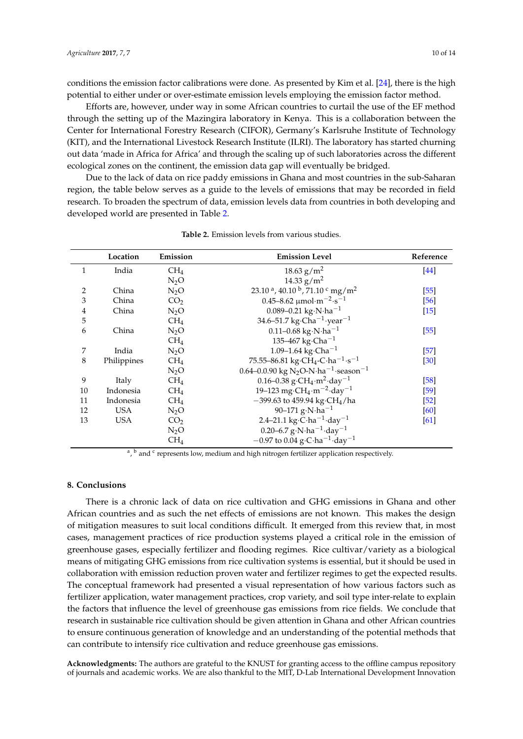conditions the emission factor calibrations were done. As presented by Kim et al. [\[24\]](#page-11-5), there is the high potential to either under or over-estimate emission levels employing the emission factor method.

Efforts are, however, under way in some African countries to curtail the use of the EF method through the setting up of the Mazingira laboratory in Kenya. This is a collaboration between the Center for International Forestry Research (CIFOR), Germany's Karlsruhe Institute of Technology (KIT), and the International Livestock Research Institute (ILRI). The laboratory has started churning out data 'made in Africa for Africa' and through the scaling up of such laboratories across the different ecological zones on the continent, the emission data gap will eventually be bridged.

Due to the lack of data on rice paddy emissions in Ghana and most countries in the sub-Saharan region, the table below serves as a guide to the levels of emissions that may be recorded in field research. To broaden the spectrum of data, emission levels data from countries in both developing and developed world are presented in Table [2.](#page-9-0)

<span id="page-9-0"></span>

|    | Location    | Emission        | <b>Emission Level</b>                                                    | Reference |
|----|-------------|-----------------|--------------------------------------------------------------------------|-----------|
| 1  | India       | CH <sub>4</sub> | $18.63$ g/m <sup>2</sup>                                                 | $[44]$    |
|    |             | $N_2O$          | 14.33 $g/m^2$                                                            |           |
| 2  | China       | $N_2O$          | 23.10 $\alpha$ , 40.10 $\beta$ , 71.10 $\gamma$ mg/m <sup>2</sup>        | $[55]$    |
| 3  | China       | CO <sub>2</sub> | $0.45 - 8.62 \mu mol·m-2·s-1$                                            | [56]      |
| 4  | China       | $N_2O$          | 0.089–0.21 kg·N·ha <sup>-1</sup>                                         | $[15]$    |
| 5  |             | CH <sub>4</sub> | 34.6–51.7 kg·Cha <sup>-1</sup> ·year <sup>-1</sup>                       |           |
| 6  | China       | $N_2O$          | 0.11-0.68 kg $\cdot$ N $\cdot$ ha <sup>-1</sup>                          | $[55]$    |
|    |             | CH <sub>4</sub> | 135–467 kg·Cha <sup>-1</sup>                                             |           |
| 7  | India       | $N_2O$          | 1.09-1.64 kg·Cha <sup>-1</sup>                                           | $[57]$    |
| 8  | Philippines | CH <sub>4</sub> | 75.55–86.81 kg·CH <sub>4</sub> -C·ha <sup>-1</sup> ·s <sup>-1</sup>      | [30]      |
|    |             | $N_2O$          | 0.64–0.0.90 kg N <sub>2</sub> O-N·ha <sup>-1</sup> ·season <sup>-1</sup> |           |
| 9  | Italy       | CH <sub>4</sub> | 0.16–0.38 g·CH <sub>4</sub> ·m <sup>2</sup> ·day <sup>-1</sup>           | $[58]$    |
| 10 | Indonesia   | CH <sub>4</sub> | 19–123 mg·CH <sub>4</sub> ·m <sup>-2</sup> ·day <sup>-1</sup>            | $[59]$    |
| 11 | Indonesia   | CH <sub>4</sub> | $-399.63$ to 459.94 kg·CH <sub>4</sub> /ha                               | $[52]$    |
| 12 | <b>USA</b>  | $N_2O$          | 90–171 g·N·ha <sup>-1</sup>                                              | [60]      |
| 13 | <b>USA</b>  | CO <sub>2</sub> | 2.4–21.1 kg·C·ha <sup>-1</sup> ·day <sup>-1</sup>                        | [61]      |
|    |             | $N_2O$          | 0.20–6.7 g·N·ha <sup>-1</sup> ·day <sup>-1</sup>                         |           |
|    |             | CH <sub>4</sub> | $-0.97$ to 0.04 g·C·ha <sup>-1</sup> ·day <sup>-1</sup>                  |           |

**Table 2.** Emission levels from various studies.

<sup>a</sup>, <sup>b</sup> and <sup>c</sup> represents low, medium and high nitrogen fertilizer application respectively.

# **8. Conclusions**

There is a chronic lack of data on rice cultivation and GHG emissions in Ghana and other African countries and as such the net effects of emissions are not known. This makes the design of mitigation measures to suit local conditions difficult. It emerged from this review that, in most cases, management practices of rice production systems played a critical role in the emission of greenhouse gases, especially fertilizer and flooding regimes. Rice cultivar/variety as a biological means of mitigating GHG emissions from rice cultivation systems is essential, but it should be used in collaboration with emission reduction proven water and fertilizer regimes to get the expected results. The conceptual framework had presented a visual representation of how various factors such as fertilizer application, water management practices, crop variety, and soil type inter-relate to explain the factors that influence the level of greenhouse gas emissions from rice fields. We conclude that research in sustainable rice cultivation should be given attention in Ghana and other African countries to ensure continuous generation of knowledge and an understanding of the potential methods that can contribute to intensify rice cultivation and reduce greenhouse gas emissions.

**Acknowledgments:** The authors are grateful to the KNUST for granting access to the offline campus repository of journals and academic works. We are also thankful to the MIT, D-Lab International Development Innovation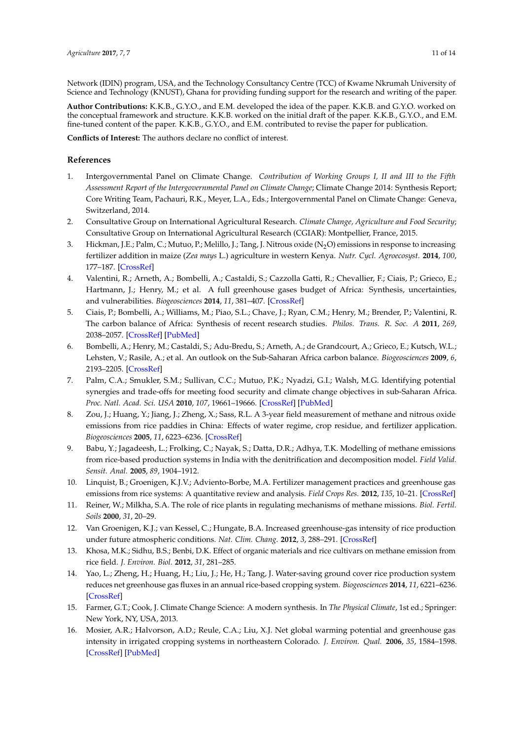Network (IDIN) program, USA, and the Technology Consultancy Centre (TCC) of Kwame Nkrumah University of Science and Technology (KNUST), Ghana for providing funding support for the research and writing of the paper.

**Author Contributions:** K.K.B., G.Y.O., and E.M. developed the idea of the paper. K.K.B. and G.Y.O. worked on the conceptual framework and structure. K.K.B. worked on the initial draft of the paper. K.K.B., G.Y.O., and E.M. fine-tuned content of the paper. K.K.B., G.Y.O., and E.M. contributed to revise the paper for publication.

**Conflicts of Interest:** The authors declare no conflict of interest.

# **References**

- <span id="page-10-0"></span>1. Intergovernmental Panel on Climate Change. *Contribution of Working Groups I, II and III to the Fifth Assessment Report of the Intergovernmental Panel on Climate Change*; Climate Change 2014: Synthesis Report; Core Writing Team, Pachauri, R.K., Meyer, L.A., Eds.; Intergovernmental Panel on Climate Change: Geneva, Switzerland, 2014.
- <span id="page-10-1"></span>2. Consultative Group on International Agricultural Research. *Climate Change, Agriculture and Food Security*; Consultative Group on International Agricultural Research (CGIAR): Montpellier, France, 2015.
- <span id="page-10-2"></span>3. Hickman, J.E.; Palm, C.; Mutuo, P.; Melillo, J.; Tang, J. Nitrous oxide (N<sub>2</sub>O) emissions in response to increasing fertilizer addition in maize (*Zea mays* L.) agriculture in western Kenya. *Nutr. Cycl. Agroecosyst.* **2014**, *100*, 177–187. [\[CrossRef\]](http://dx.doi.org/10.1007/s10705-014-9636-7)
- 4. Valentini, R.; Arneth, A.; Bombelli, A.; Castaldi, S.; Cazzolla Gatti, R.; Chevallier, F.; Ciais, P.; Grieco, E.; Hartmann, J.; Henry, M.; et al. A full greenhouse gases budget of Africa: Synthesis, uncertainties, and vulnerabilities. *Biogeosciences* **2014**, *11*, 381–407. [\[CrossRef\]](http://dx.doi.org/10.5194/bg-11-381-2014)
- 5. Ciais, P.; Bombelli, A.; Williams, M.; Piao, S.L.; Chave, J.; Ryan, C.M.; Henry, M.; Brender, P.; Valentini, R. The carbon balance of Africa: Synthesis of recent research studies. *Philos. Trans. R. Soc. A* **2011**, *269*, 2038–2057. [\[CrossRef\]](http://dx.doi.org/10.1098/rsta.2010.0328) [\[PubMed\]](http://www.ncbi.nlm.nih.gov/pubmed/21502175)
- <span id="page-10-3"></span>6. Bombelli, A.; Henry, M.; Castaldi, S.; Adu-Bredu, S.; Arneth, A.; de Grandcourt, A.; Grieco, E.; Kutsch, W.L.; Lehsten, V.; Rasile, A.; et al. An outlook on the Sub-Saharan Africa carbon balance. *Biogeosciences* **2009**, *6*, 2193–2205. [\[CrossRef\]](http://dx.doi.org/10.5194/bg-6-2193-2009)
- <span id="page-10-4"></span>7. Palm, C.A.; Smukler, S.M.; Sullivan, C.C.; Mutuo, P.K.; Nyadzi, G.I.; Walsh, M.G. Identifying potential synergies and trade-offs for meeting food security and climate change objectives in sub-Saharan Africa. *Proc. Natl. Acad. Sci. USA* **2010**, *107*, 19661–19666. [\[CrossRef\]](http://dx.doi.org/10.1073/pnas.0912248107) [\[PubMed\]](http://www.ncbi.nlm.nih.gov/pubmed/20453198)
- <span id="page-10-5"></span>8. Zou, J.; Huang, Y.; Jiang, J.; Zheng, X.; Sass, R.L. A 3-year field measurement of methane and nitrous oxide emissions from rice paddies in China: Effects of water regime, crop residue, and fertilizer application. *Biogeosciences* **2005**, *11*, 6223–6236. [\[CrossRef\]](http://dx.doi.org/10.1029/2004GB002401)
- <span id="page-10-11"></span>9. Babu, Y.; Jagadeesh, L.; Frolking, C.; Nayak, S.; Datta, D.R.; Adhya, T.K. Modelling of methane emissions from rice-based production systems in India with the denitrification and decomposition model. *Field Valid. Sensit. Anal.* **2005**, *89*, 1904–1912.
- <span id="page-10-12"></span>10. Linquist, B.; Groenigen, K.J.V.; Adviento-Borbe, M.A. Fertilizer management practices and greenhouse gas emissions from rice systems: A quantitative review and analysis. *Field Crops Res.* **2012**, *135*, 10–21. [\[CrossRef\]](http://dx.doi.org/10.1016/j.fcr.2012.06.007)
- <span id="page-10-6"></span>11. Reiner, W.; Milkha, S.A. The role of rice plants in regulating mechanisms of methane missions. *Biol. Fertil. Soils* **2000**, *31*, 20–29.
- <span id="page-10-7"></span>12. Van Groenigen, K.J.; van Kessel, C.; Hungate, B.A. Increased greenhouse-gas intensity of rice production under future atmospheric conditions. *Nat. Clim. Chang.* **2012**, *3*, 288–291. [\[CrossRef\]](http://dx.doi.org/10.1038/nclimate1712)
- 13. Khosa, M.K.; Sidhu, B.S.; Benbi, D.K. Effect of organic materials and rice cultivars on methane emission from rice field. *J. Environ. Biol.* **2012**, *31*, 281–285.
- <span id="page-10-8"></span>14. Yao, L.; Zheng, H.; Huang, H.; Liu, J.; He, H.; Tang, J. Water-saving ground cover rice production system reduces net greenhouse gas fluxes in an annual rice-based cropping system. *Biogeosciences* **2014**, *11*, 6221–6236. [\[CrossRef\]](http://dx.doi.org/10.5194/bg-11-6221-2014)
- <span id="page-10-9"></span>15. Farmer, G.T.; Cook, J. Climate Change Science: A modern synthesis. In *The Physical Climate*, 1st ed.; Springer: New York, NY, USA, 2013.
- <span id="page-10-10"></span>16. Mosier, A.R.; Halvorson, A.D.; Reule, C.A.; Liu, X.J. Net global warming potential and greenhouse gas intensity in irrigated cropping systems in northeastern Colorado. *J. Environ. Qual.* **2006**, *35*, 1584–1598. [\[CrossRef\]](http://dx.doi.org/10.2134/jeq2005.0232) [\[PubMed\]](http://www.ncbi.nlm.nih.gov/pubmed/16825479)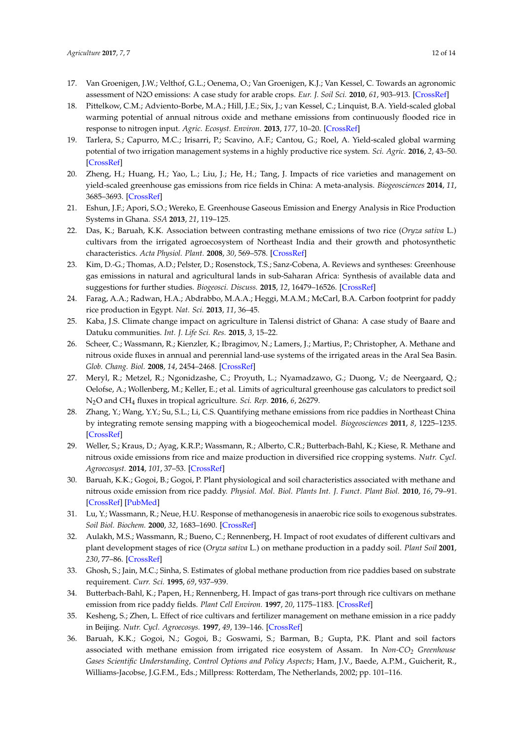- <span id="page-11-0"></span>17. Van Groenigen, J.W.; Velthof, G.L.; Oenema, O.; Van Groenigen, K.J.; Van Kessel, C. Towards an agronomic assessment of N2O emissions: A case study for arable crops. *Eur. J. Soil Sci.* **2010**, *61*, 903–913. [\[CrossRef\]](http://dx.doi.org/10.1111/j.1365-2389.2009.01217.x)
- 18. Pittelkow, C.M.; Adviento-Borbe, M.A.; Hill, J.E.; Six, J.; van Kessel, C.; Linquist, B.A. Yield-scaled global warming potential of annual nitrous oxide and methane emissions from continuously flooded rice in response to nitrogen input. *Agric. Ecosyst. Environ.* **2013**, *177*, 10–20. [\[CrossRef\]](http://dx.doi.org/10.1016/j.agee.2013.05.011)
- <span id="page-11-17"></span>19. Tarlera, S.; Capurro, M.C.; Irisarri, P.; Scavino, A.F.; Cantou, G.; Roel, A. Yield-scaled global warming potential of two irrigation management systems in a highly productive rice system. *Sci. Agric.* **2016**, *2*, 43–50. [\[CrossRef\]](http://dx.doi.org/10.1590/0103-9016-2015-0050)
- <span id="page-11-1"></span>20. Zheng, H.; Huang, H.; Yao, L.; Liu, J.; He, H.; Tang, J. Impacts of rice varieties and management on yield-scaled greenhouse gas emissions from rice fields in China: A meta-analysis. *Biogeosciences* **2014**, *11*, 3685–3693. [\[CrossRef\]](http://dx.doi.org/10.5194/bg-11-3685-2014)
- <span id="page-11-2"></span>21. Eshun, J.F.; Apori, S.O.; Wereko, E. Greenhouse Gaseous Emission and Energy Analysis in Rice Production Systems in Ghana. *SSA* **2013**, *21*, 119–125.
- <span id="page-11-3"></span>22. Das, K.; Baruah, K.K. Association between contrasting methane emissions of two rice (*Oryza sativa* L.) cultivars from the irrigated agroecosystem of Northeast India and their growth and photosynthetic characteristics. *Acta Physiol. Plant.* **2008**, *30*, 569–578. [\[CrossRef\]](http://dx.doi.org/10.1007/s11738-008-0156-4)
- <span id="page-11-4"></span>23. Kim, D.-G.; Thomas, A.D.; Pelster, D.; Rosenstock, T.S.; Sanz-Cobena, A. Reviews and syntheses: Greenhouse gas emissions in natural and agricultural lands in sub-Saharan Africa: Synthesis of available data and suggestions for further studies. *Biogeosci. Discuss.* **2015**, *12*, 16479–16526. [\[CrossRef\]](http://dx.doi.org/10.5194/bgd-12-16479-2015)
- <span id="page-11-5"></span>24. Farag, A.A.; Radwan, H.A.; Abdrabbo, M.A.A.; Heggi, M.A.M.; McCarl, B.A. Carbon footprint for paddy rice production in Egypt. *Nat. Sci.* **2013**, *11*, 36–45.
- <span id="page-11-6"></span>25. Kaba, J.S. Climate change impact on agriculture in Talensi district of Ghana: A case study of Baare and Datuku communities. *Int. J. Life Sci. Res.* **2015**, *3*, 15–22.
- <span id="page-11-7"></span>26. Scheer, C.; Wassmann, R.; Kienzler, K.; Ibragimov, N.; Lamers, J.; Martius, P.; Christopher, A. Methane and nitrous oxide fluxes in annual and perennial land-use systems of the irrigated areas in the Aral Sea Basin. *Glob. Chang. Biol.* **2008**, *14*, 2454–2468. [\[CrossRef\]](http://dx.doi.org/10.1111/j.1365-2486.2008.01631.x)
- <span id="page-11-8"></span>27. Meryl, R.; Metzel, R.; Ngonidzashe, C.; Proyuth, L.; Nyamadzawo, G.; Duong, V.; de Neergaard, Q.; Oelofse, A.; Wollenberg, M.; Keller, E.; et al. Limits of agricultural greenhouse gas calculators to predict soil N2O and CH<sup>4</sup> fluxes in tropical agriculture. *Sci. Rep.* **2016**, *6*, 26279.
- <span id="page-11-9"></span>28. Zhang, Y.; Wang, Y.Y.; Su, S.L.; Li, C.S. Quantifying methane emissions from rice paddies in Northeast China by integrating remote sensing mapping with a biogeochemical model. *Biogeosciences* **2011**, *8*, 1225–1235. [\[CrossRef\]](http://dx.doi.org/10.5194/bg-8-1225-2011)
- <span id="page-11-10"></span>29. Weller, S.; Kraus, D.; Ayag, K.R.P.; Wassmann, R.; Alberto, C.R.; Butterbach-Bahl, K.; Kiese, R. Methane and nitrous oxide emissions from rice and maize production in diversified rice cropping systems. *Nutr. Cycl. Agroecosyst.* **2014**, *101*, 37–53. [\[CrossRef\]](http://dx.doi.org/10.1007/s10705-014-9658-1)
- <span id="page-11-11"></span>30. Baruah, K.K.; Gogoi, B.; Gogoi, P. Plant physiological and soil characteristics associated with methane and nitrous oxide emission from rice paddy. *Physiol. Mol. Biol. Plants Int. J. Funct. Plant Biol.* **2010**, *16*, 79–91. [\[CrossRef\]](http://dx.doi.org/10.1007/s12298-010-0010-1) [\[PubMed\]](http://www.ncbi.nlm.nih.gov/pubmed/23572957)
- <span id="page-11-12"></span>31. Lu, Y.; Wassmann, R.; Neue, H.U. Response of methanogenesis in anaerobic rice soils to exogenous substrates. *Soil Biol. Biochem.* **2000**, *32*, 1683–1690. [\[CrossRef\]](http://dx.doi.org/10.1016/S0038-0717(00)00085-7)
- <span id="page-11-15"></span>32. Aulakh, M.S.; Wassmann, R.; Bueno, C.; Rennenberg, H. Impact of root exudates of different cultivars and plant development stages of rice (*Oryza sativa* L.) on methane production in a paddy soil. *Plant Soil* **2001**, *230*, 77–86. [\[CrossRef\]](http://dx.doi.org/10.1023/A:1004817212321)
- <span id="page-11-16"></span>33. Ghosh, S.; Jain, M.C.; Sinha, S. Estimates of global methane production from rice paddies based on substrate requirement. *Curr. Sci.* **1995**, *69*, 937–939.
- <span id="page-11-13"></span>34. Butterbach-Bahl, K.; Papen, H.; Rennenberg, H. Impact of gas trans-port through rice cultivars on methane emission from rice paddy fields. *Plant Cell Environ.* **1997**, *20*, 1175–1183. [\[CrossRef\]](http://dx.doi.org/10.1046/j.1365-3040.1997.d01-142.x)
- <span id="page-11-14"></span>35. Kesheng, S.; Zhen, L. Effect of rice cultivars and fertilizer management on methane emission in a rice paddy in Beijing. *Nutr. Cycl. Agroecosys.* **1997**, *49*, 139–146. [\[CrossRef\]](http://dx.doi.org/10.1023/A:1009734702524)
- 36. Baruah, K.K.; Gogoi, N.; Gogoi, B.; Goswami, S.; Barman, B.; Gupta, P.K. Plant and soil factors associated with methane emission from irrigated rice eosystem of Assam. In *Non-CO<sup>2</sup> Greenhouse Gases Scientific Understanding, Control Options and Policy Aspects*; Ham, J.V., Baede, A.P.M., Guicherit, R., Williams-Jacobse, J.G.F.M., Eds.; Millpress: Rotterdam, The Netherlands, 2002; pp. 101–116.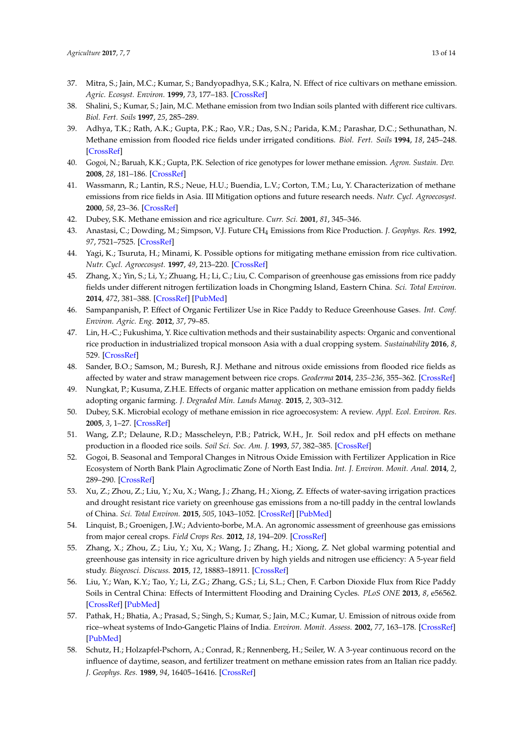- 37. Mitra, S.; Jain, M.C.; Kumar, S.; Bandyopadhya, S.K.; Kalra, N. Effect of rice cultivars on methane emission. *Agric. Ecosyst. Environ.* **1999**, *73*, 177–183. [\[CrossRef\]](http://dx.doi.org/10.1016/S0167-8809(99)00015-8)
- 38. Shalini, S.; Kumar, S.; Jain, M.C. Methane emission from two Indian soils planted with different rice cultivars. *Biol. Fert. Soils* **1997**, *25*, 285–289.
- <span id="page-12-0"></span>39. Adhya, T.K.; Rath, A.K.; Gupta, P.K.; Rao, V.R.; Das, S.N.; Parida, K.M.; Parashar, D.C.; Sethunathan, N. Methane emission from flooded rice fields under irrigated conditions. *Biol. Fert. Soils* **1994**, *18*, 245–248. [\[CrossRef\]](http://dx.doi.org/10.1007/BF00647675)
- <span id="page-12-1"></span>40. Gogoi, N.; Baruah, K.K.; Gupta, P.K. Selection of rice genotypes for lower methane emission. *Agron. Sustain. Dev.* **2008**, *28*, 181–186. [\[CrossRef\]](http://dx.doi.org/10.1051/agro:2008005)
- <span id="page-12-2"></span>41. Wassmann, R.; Lantin, R.S.; Neue, H.U.; Buendia, L.V.; Corton, T.M.; Lu, Y. Characterization of methane emissions from rice fields in Asia. III Mitigation options and future research needs. *Nutr. Cycl. Agroecosyst.* **2000**, *58*, 23–36. [\[CrossRef\]](http://dx.doi.org/10.1023/A:1009874014903)
- <span id="page-12-3"></span>42. Dubey, S.K. Methane emission and rice agriculture. *Curr. Sci.* **2001**, *81*, 345–346.
- <span id="page-12-4"></span>43. Anastasi, C.; Dowding, M.; Simpson, V.J. Future CH<sup>4</sup> Emissions from Rice Production. *J. Geophys. Res.* **1992**, *97*, 7521–7525. [\[CrossRef\]](http://dx.doi.org/10.1029/92JD00157)
- <span id="page-12-5"></span>44. Yagi, K.; Tsuruta, H.; Minami, K. Possible options for mitigating methane emission from rice cultivation. *Nutr. Cycl. Agroecosyst.* **1997**, *49*, 213–220. [\[CrossRef\]](http://dx.doi.org/10.1023/A:1009743909716)
- <span id="page-12-6"></span>45. Zhang, X.; Yin, S.; Li, Y.; Zhuang, H.; Li, C.; Liu, C. Comparison of greenhouse gas emissions from rice paddy fields under different nitrogen fertilization loads in Chongming Island, Eastern China. *Sci. Total Environ.* **2014**, *472*, 381–388. [\[CrossRef\]](http://dx.doi.org/10.1016/j.scitotenv.2013.11.014) [\[PubMed\]](http://www.ncbi.nlm.nih.gov/pubmed/24295754)
- <span id="page-12-7"></span>46. Sampanpanish, P. Effect of Organic Fertilizer Use in Rice Paddy to Reduce Greenhouse Gases. *Int. Conf. Environ. Agric. Eng.* **2012**, *37*, 79–85.
- <span id="page-12-8"></span>47. Lin, H.-C.; Fukushima, Y. Rice cultivation methods and their sustainability aspects: Organic and conventional rice production in industrialized tropical monsoon Asia with a dual cropping system. *Sustainability* **2016**, *8*, 529. [\[CrossRef\]](http://dx.doi.org/10.3390/su8060529)
- <span id="page-12-9"></span>48. Sander, B.O.; Samson, M.; Buresh, R.J. Methane and nitrous oxide emissions from flooded rice fields as affected by water and straw management between rice crops. *Geoderma* **2014**, *235–236*, 355–362. [\[CrossRef\]](http://dx.doi.org/10.1016/j.geoderma.2014.07.020)
- <span id="page-12-10"></span>49. Nungkat, P.; Kusuma, Z.H.E. Effects of organic matter application on methane emission from paddy fields adopting organic farming. *J. Degraded Min. Lands Manag.* **2015**, *2*, 303–312.
- <span id="page-12-11"></span>50. Dubey, S.K. Microbial ecology of methane emission in rice agroecosystem: A review. *Appl. Ecol. Environ. Res.* **2005**, *3*, 1–27. [\[CrossRef\]](http://dx.doi.org/10.15666/aeer/0302_001027)
- <span id="page-12-12"></span>51. Wang, Z.P.; Delaune, R.D.; Masscheleyn, P.B.; Patrick, W.H., Jr. Soil redox and pH effects on methane production in a flooded rice soils. *Soil Sci. Soc. Am. J.* **1993**, *57*, 382–385. [\[CrossRef\]](http://dx.doi.org/10.2136/sssaj1993.03615995005700020016x)
- <span id="page-12-13"></span>52. Gogoi, B. Seasonal and Temporal Changes in Nitrous Oxide Emission with Fertilizer Application in Rice Ecosystem of North Bank Plain Agroclimatic Zone of North East India. *Int. J. Environ. Monit. Anal.* **2014**, *2*, 289–290. [\[CrossRef\]](http://dx.doi.org/10.11648/j.ijema.20140205.19)
- <span id="page-12-14"></span>53. Xu, Z.; Zhou, Z.; Liu, Y.; Xu, X.; Wang, J.; Zhang, H.; Xiong, Z. Effects of water-saving irrigation practices and drought resistant rice variety on greenhouse gas emissions from a no-till paddy in the central lowlands of China. *Sci. Total Environ.* **2015**, *505*, 1043–1052. [\[CrossRef\]](http://dx.doi.org/10.1016/j.scitotenv.2014.10.073) [\[PubMed\]](http://www.ncbi.nlm.nih.gov/pubmed/25461105)
- <span id="page-12-15"></span>54. Linquist, B.; Groenigen, J.W.; Adviento-borbe, M.A. An agronomic assessment of greenhouse gas emissions from major cereal crops. *Field Crops Res.* **2012**, *18*, 194–209. [\[CrossRef\]](http://dx.doi.org/10.1111/j.1365-2486.2011.02502.x)
- <span id="page-12-16"></span>55. Zhang, X.; Zhou, Z.; Liu, Y.; Xu, X.; Wang, J.; Zhang, H.; Xiong, Z. Net global warming potential and greenhouse gas intensity in rice agriculture driven by high yields and nitrogen use efficiency: A 5-year field study. *Biogeosci. Discuss.* **2015**, *12*, 18883–18911. [\[CrossRef\]](http://dx.doi.org/10.5194/bgd-12-18883-2015)
- <span id="page-12-17"></span>56. Liu, Y.; Wan, K.Y.; Tao, Y.; Li, Z.G.; Zhang, G.S.; Li, S.L.; Chen, F. Carbon Dioxide Flux from Rice Paddy Soils in Central China: Effects of Intermittent Flooding and Draining Cycles. *PLoS ONE* **2013**, *8*, e56562. [\[CrossRef\]](http://dx.doi.org/10.1371/journal.pone.0056562) [\[PubMed\]](http://www.ncbi.nlm.nih.gov/pubmed/23437170)
- <span id="page-12-18"></span>57. Pathak, H.; Bhatia, A.; Prasad, S.; Singh, S.; Kumar, S.; Jain, M.C.; Kumar, U. Emission of nitrous oxide from rice–wheat systems of Indo-Gangetic Plains of India. *Environ. Monit. Assess.* **2002**, *77*, 163–178. [\[CrossRef\]](http://dx.doi.org/10.1023/A:1015823919405) [\[PubMed\]](http://www.ncbi.nlm.nih.gov/pubmed/12180654)
- <span id="page-12-19"></span>58. Schutz, H.; Holzapfel-Pschorn, A.; Conrad, R.; Rennenberg, H.; Seiler, W. A 3-year continuous record on the influence of daytime, season, and fertilizer treatment on methane emission rates from an Italian rice paddy. *J. Geophys. Res.* **1989**, *94*, 16405–16416. [\[CrossRef\]](http://dx.doi.org/10.1029/JD094iD13p16405)